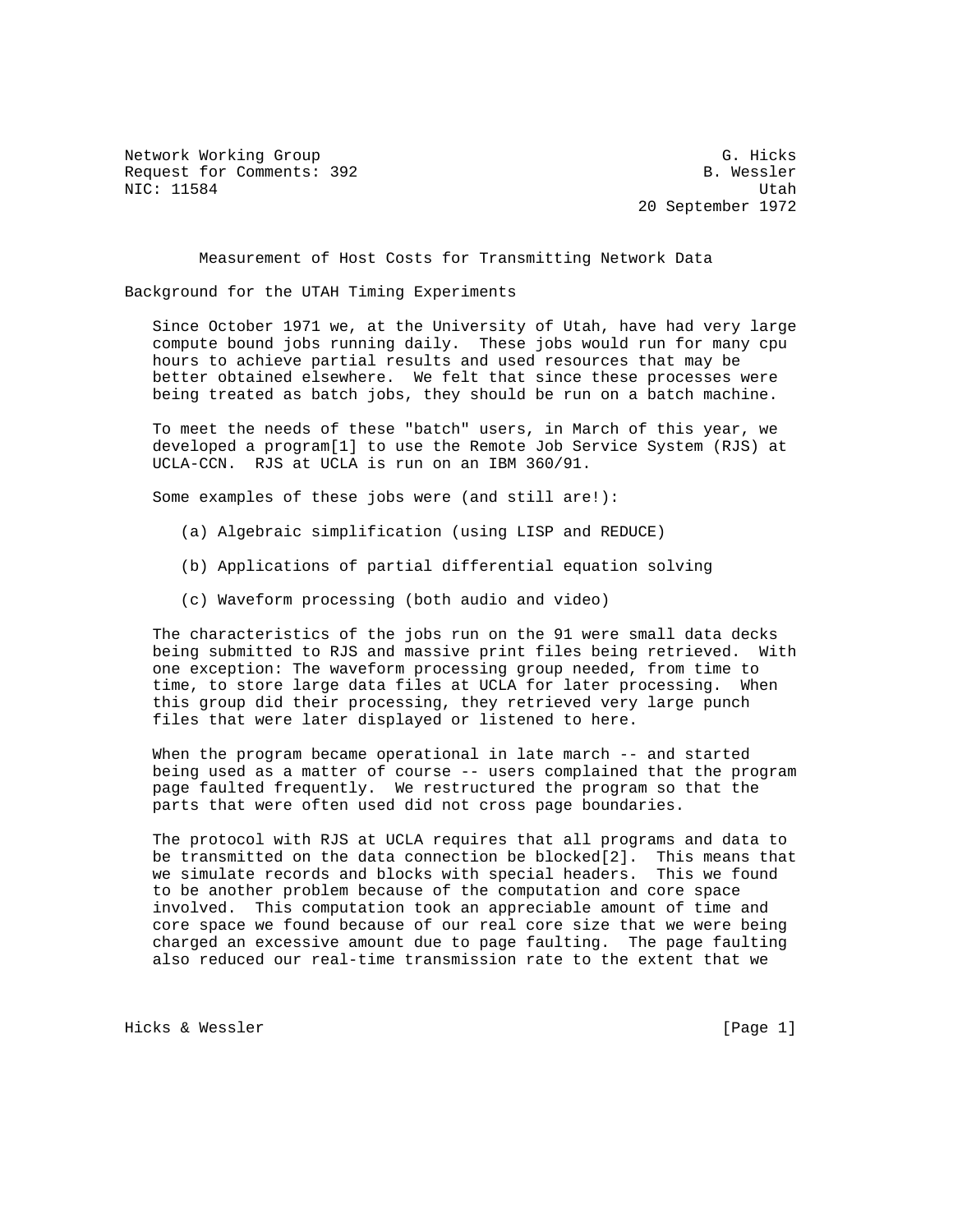Network Working Group G. Hicks Request for Comments: 392 B. Wessler NIC: 11584 Utah

20 September 1972

Measurement of Host Costs for Transmitting Network Data

Background for the UTAH Timing Experiments

 Since October 1971 we, at the University of Utah, have had very large compute bound jobs running daily. These jobs would run for many cpu hours to achieve partial results and used resources that may be better obtained elsewhere. We felt that since these processes were being treated as batch jobs, they should be run on a batch machine.

 To meet the needs of these "batch" users, in March of this year, we developed a program[1] to use the Remote Job Service System (RJS) at UCLA-CCN. RJS at UCLA is run on an IBM 360/91.

Some examples of these jobs were (and still are!):

- (a) Algebraic simplification (using LISP and REDUCE)
- (b) Applications of partial differential equation solving
- (c) Waveform processing (both audio and video)

 The characteristics of the jobs run on the 91 were small data decks being submitted to RJS and massive print files being retrieved. With one exception: The waveform processing group needed, from time to time, to store large data files at UCLA for later processing. When this group did their processing, they retrieved very large punch files that were later displayed or listened to here.

When the program became operational in late march -- and started being used as a matter of course -- users complained that the program page faulted frequently. We restructured the program so that the parts that were often used did not cross page boundaries.

 The protocol with RJS at UCLA requires that all programs and data to be transmitted on the data connection be blocked[2]. This means that we simulate records and blocks with special headers. This we found to be another problem because of the computation and core space involved. This computation took an appreciable amount of time and core space we found because of our real core size that we were being charged an excessive amount due to page faulting. The page faulting also reduced our real-time transmission rate to the extent that we

Hicks & Wessler [Page 1]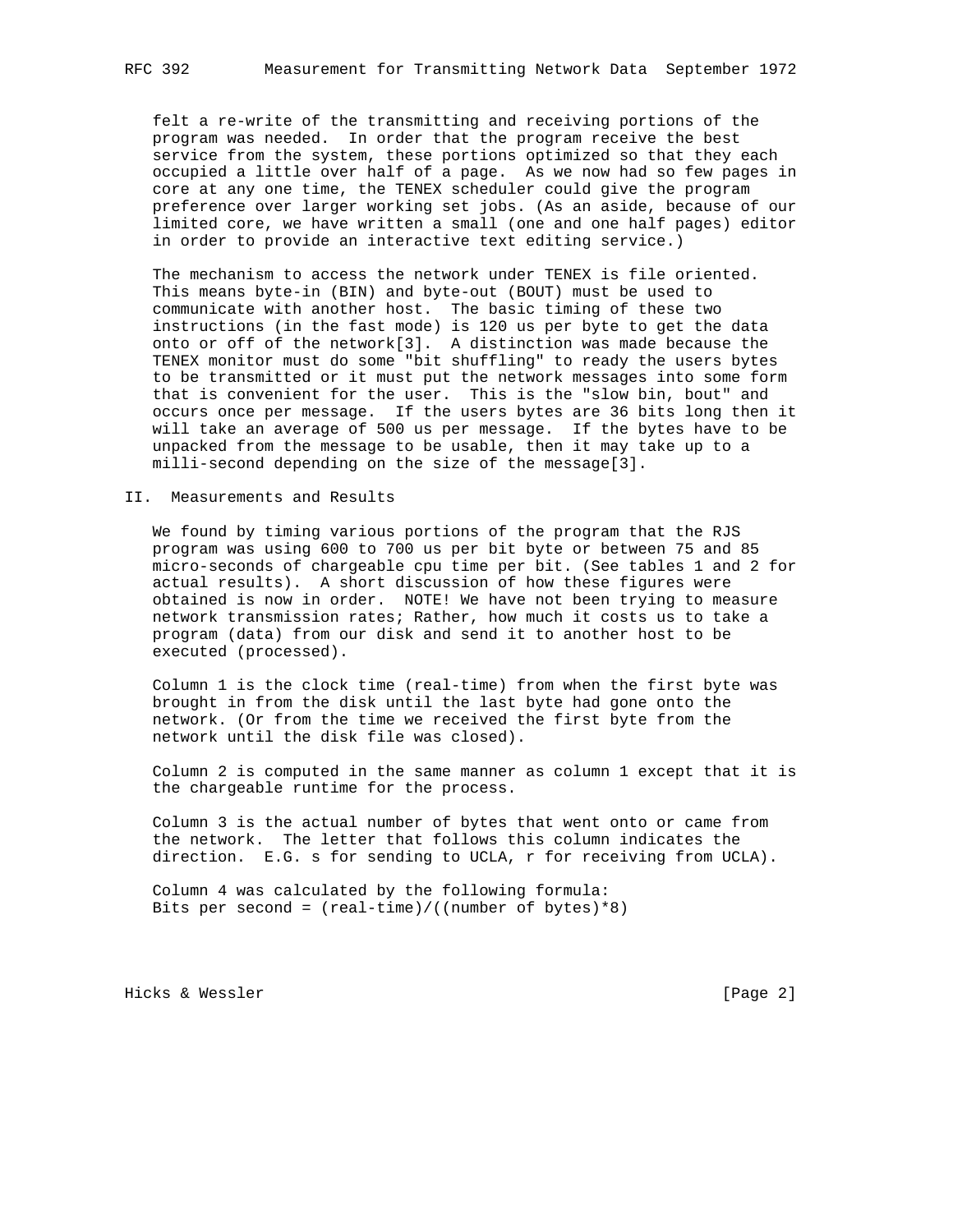felt a re-write of the transmitting and receiving portions of the program was needed. In order that the program receive the best service from the system, these portions optimized so that they each occupied a little over half of a page. As we now had so few pages in core at any one time, the TENEX scheduler could give the program preference over larger working set jobs. (As an aside, because of our limited core, we have written a small (one and one half pages) editor in order to provide an interactive text editing service.)

 The mechanism to access the network under TENEX is file oriented. This means byte-in (BIN) and byte-out (BOUT) must be used to communicate with another host. The basic timing of these two instructions (in the fast mode) is 120 us per byte to get the data onto or off of the network[3]. A distinction was made because the TENEX monitor must do some "bit shuffling" to ready the users bytes to be transmitted or it must put the network messages into some form that is convenient for the user. This is the "slow bin, bout" and occurs once per message. If the users bytes are 36 bits long then it will take an average of 500 us per message. If the bytes have to be unpacked from the message to be usable, then it may take up to a milli-second depending on the size of the message[3].

II. Measurements and Results

 We found by timing various portions of the program that the RJS program was using 600 to 700 us per bit byte or between 75 and 85 micro-seconds of chargeable cpu time per bit. (See tables 1 and 2 for actual results). A short discussion of how these figures were obtained is now in order. NOTE! We have not been trying to measure network transmission rates; Rather, how much it costs us to take a program (data) from our disk and send it to another host to be executed (processed).

 Column 1 is the clock time (real-time) from when the first byte was brought in from the disk until the last byte had gone onto the network. (Or from the time we received the first byte from the network until the disk file was closed).

 Column 2 is computed in the same manner as column 1 except that it is the chargeable runtime for the process.

 Column 3 is the actual number of bytes that went onto or came from the network. The letter that follows this column indicates the direction. E.G. s for sending to UCLA, r for receiving from UCLA).

 Column 4 was calculated by the following formula: Bits per second = (real-time)/((number of bytes)\*8)

Hicks & Wessler [Page 2]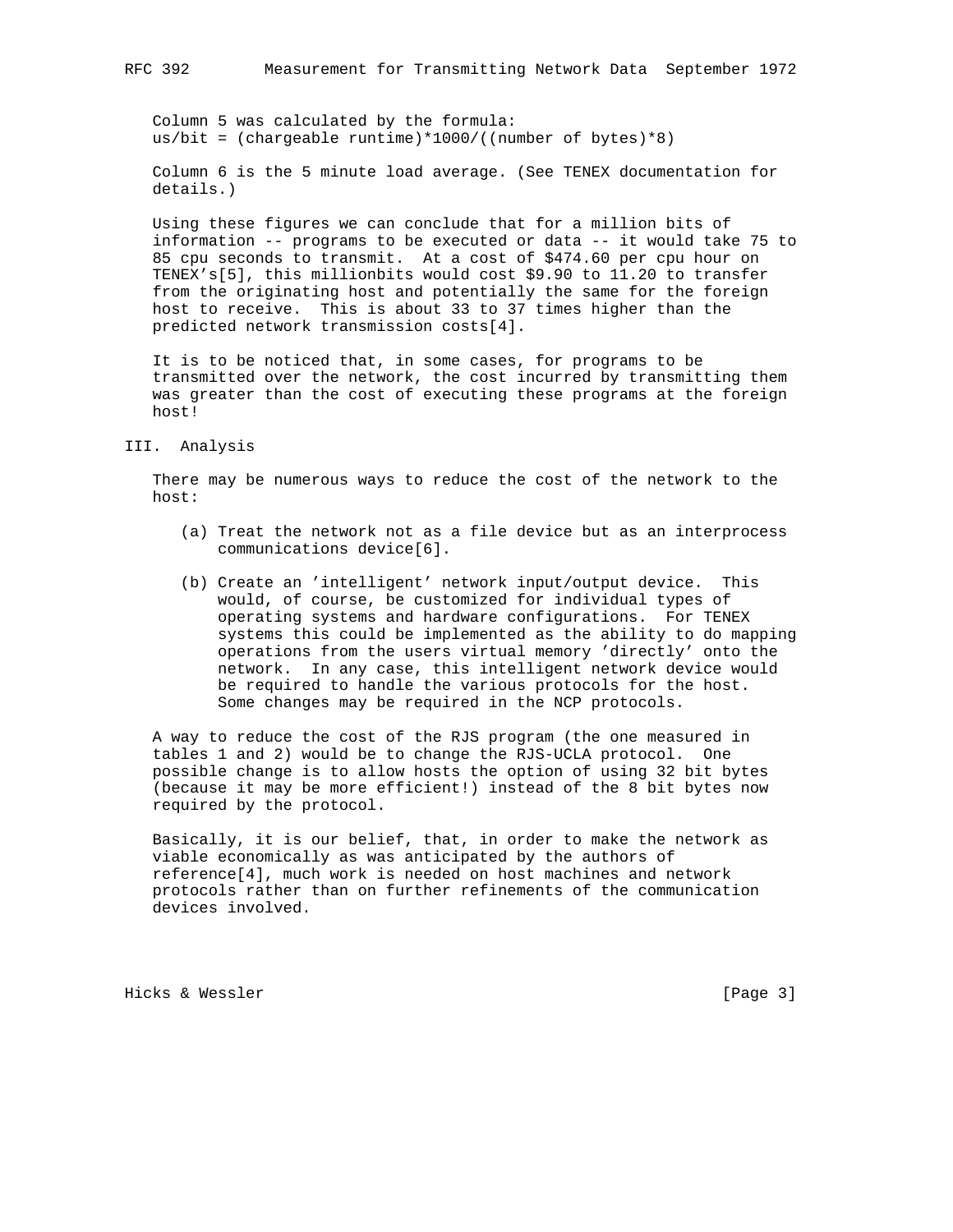Column 5 was calculated by the formula: us/bit = (chargeable runtime)\*1000/((number of bytes)\*8)

 Column 6 is the 5 minute load average. (See TENEX documentation for details.)

 Using these figures we can conclude that for a million bits of information -- programs to be executed or data -- it would take 75 to 85 cpu seconds to transmit. At a cost of \$474.60 per cpu hour on TENEX's[5], this millionbits would cost \$9.90 to 11.20 to transfer from the originating host and potentially the same for the foreign host to receive. This is about 33 to 37 times higher than the predicted network transmission costs[4].

 It is to be noticed that, in some cases, for programs to be transmitted over the network, the cost incurred by transmitting them was greater than the cost of executing these programs at the foreign host!

III. Analysis

 There may be numerous ways to reduce the cost of the network to the host:

- (a) Treat the network not as a file device but as an interprocess communications device[6].
- (b) Create an 'intelligent' network input/output device. This would, of course, be customized for individual types of operating systems and hardware configurations. For TENEX systems this could be implemented as the ability to do mapping operations from the users virtual memory 'directly' onto the network. In any case, this intelligent network device would be required to handle the various protocols for the host. Some changes may be required in the NCP protocols.

 A way to reduce the cost of the RJS program (the one measured in tables 1 and 2) would be to change the RJS-UCLA protocol. One possible change is to allow hosts the option of using 32 bit bytes (because it may be more efficient!) instead of the 8 bit bytes now required by the protocol.

 Basically, it is our belief, that, in order to make the network as viable economically as was anticipated by the authors of reference[4], much work is needed on host machines and network protocols rather than on further refinements of the communication devices involved.

Hicks & Wessler [Page 3]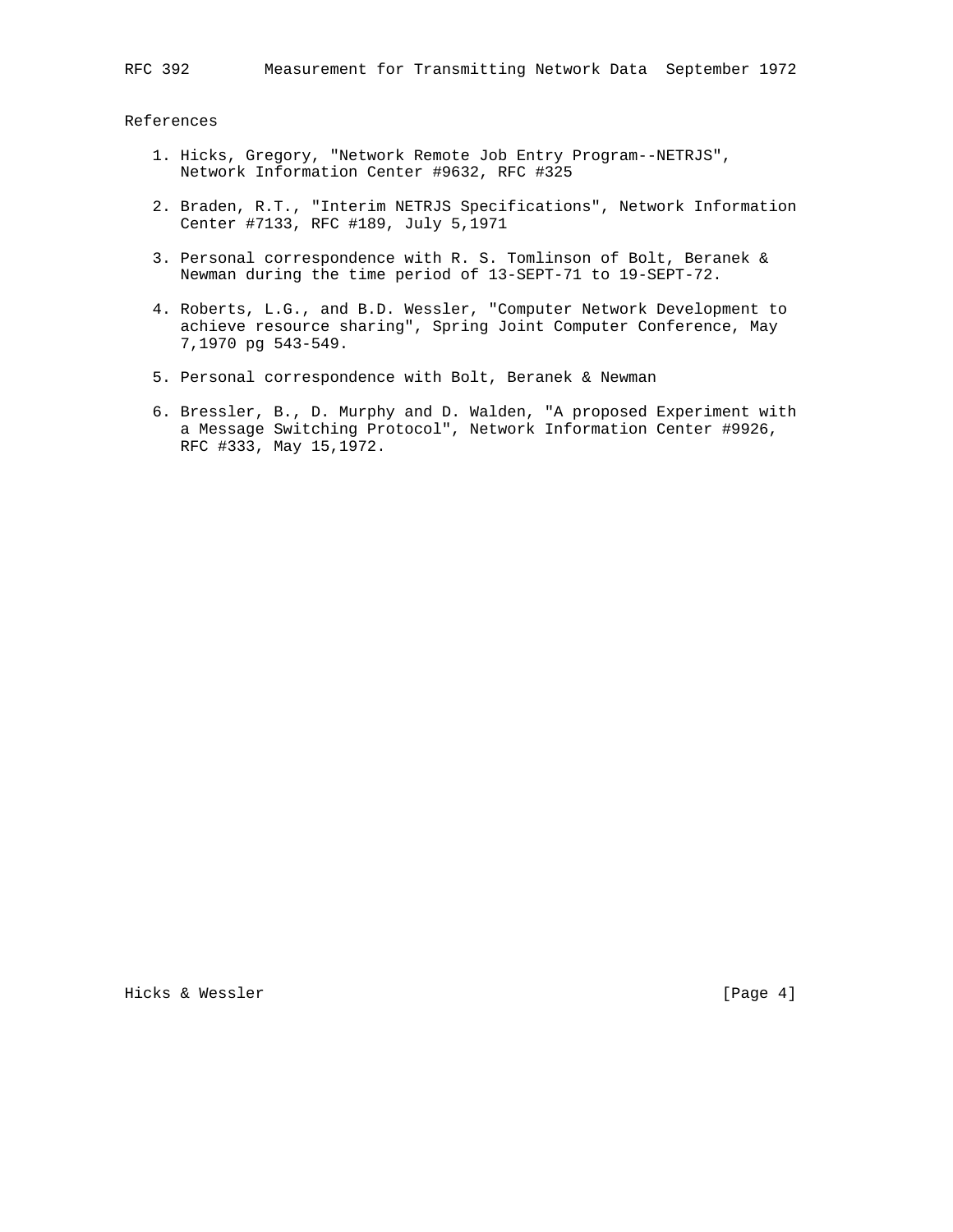References

- 1. Hicks, Gregory, "Network Remote Job Entry Program--NETRJS", Network Information Center #9632, RFC #325
- 2. Braden, R.T., "Interim NETRJS Specifications", Network Information Center #7133, RFC #189, July 5,1971
- 3. Personal correspondence with R. S. Tomlinson of Bolt, Beranek & Newman during the time period of 13-SEPT-71 to 19-SEPT-72.
- 4. Roberts, L.G., and B.D. Wessler, "Computer Network Development to achieve resource sharing", Spring Joint Computer Conference, May 7,1970 pg 543-549.
- 5. Personal correspondence with Bolt, Beranek & Newman
- 6. Bressler, B., D. Murphy and D. Walden, "A proposed Experiment with a Message Switching Protocol", Network Information Center #9926, RFC #333, May 15,1972.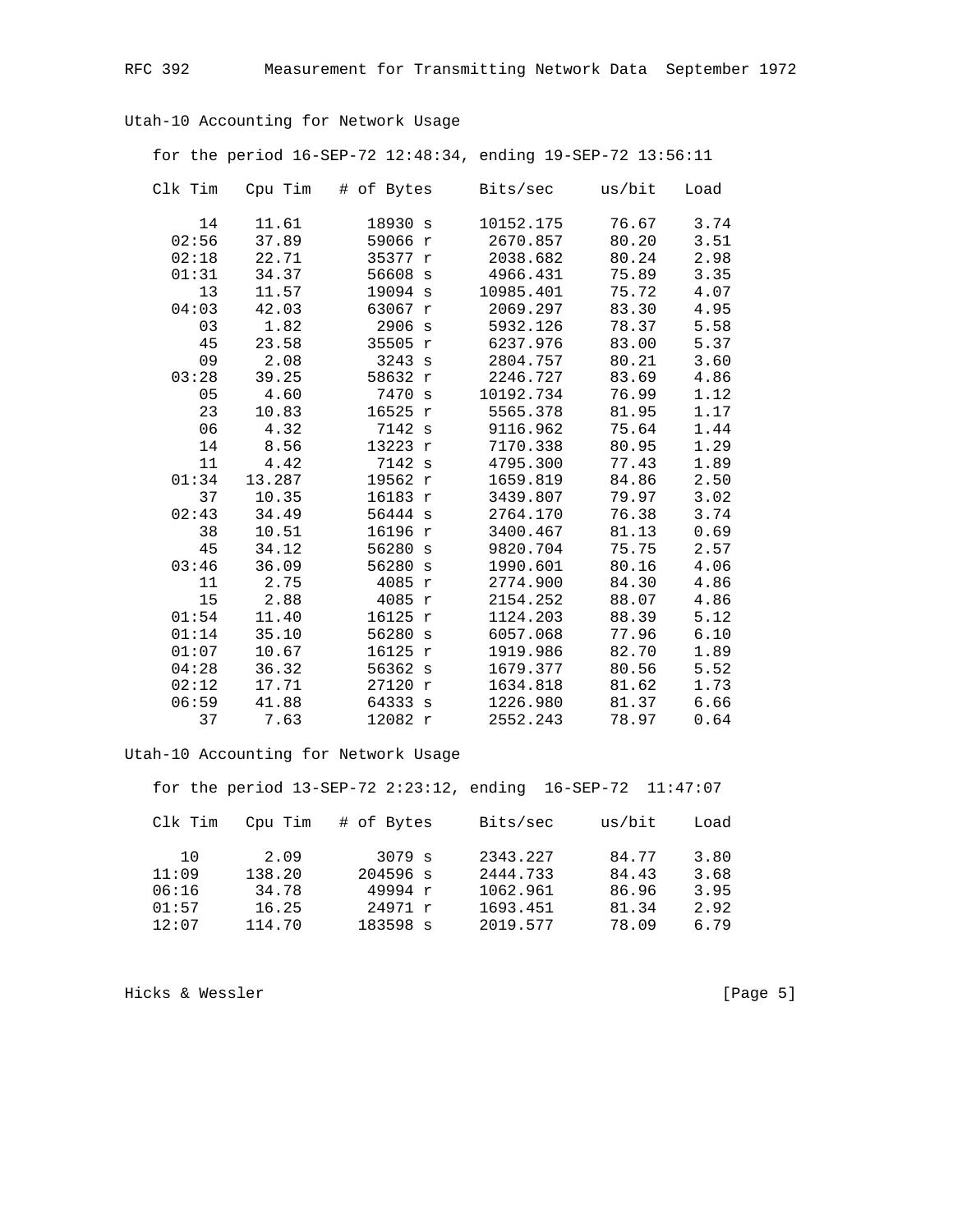Utah-10 Accounting for Network Usage

for the period 16-SEP-72 12:48:34, ending 19-SEP-72 13:56:11

| Clk Tim | Cpu Tim | # of Bytes            | Bits/sec  | us/bit | Load |
|---------|---------|-----------------------|-----------|--------|------|
| 14      | 11.61   | 18930 s               | 10152.175 | 76.67  | 3.74 |
| 02:56   | 37.89   | 59066 r               | 2670.857  | 80.20  | 3.51 |
| 02:18   | 22.71   | 35377 r               | 2038.682  | 80.24  | 2.98 |
| 01:31   | 34.37   | 56608 s               | 4966.431  | 75.89  | 3.35 |
| 13      | 11.57   | 19094 s               | 10985.401 | 75.72  | 4.07 |
| 04:03   | 42.03   | 63067 r               | 2069.297  | 83.30  | 4.95 |
| 03      | 1.82    | 2906 s                | 5932.126  | 78.37  | 5.58 |
| 45      | 23.58   | 35505 r               | 6237.976  | 83.00  | 5.37 |
| 09      | 2.08    | 3243 s                | 2804.757  | 80.21  | 3.60 |
| 03:28   | 39.25   | 58632 r               | 2246.727  | 83.69  | 4.86 |
| 05      | 4.60    | 7470 s                | 10192.734 | 76.99  | 1.12 |
| 23      | 10.83   | 16525 r               | 5565.378  | 81.95  | 1.17 |
| 06      | 4.32    | 7142 s                | 9116.962  | 75.64  | 1.44 |
| 14      | 8.56    | 13223 r               | 7170.338  | 80.95  | 1.29 |
| 11      | 4.42    | 7142 s                | 4795.300  | 77.43  | 1.89 |
| 01:34   | 13.287  | 19562 r               | 1659.819  | 84.86  | 2.50 |
| 37      | 10.35   | 16183 r               | 3439.807  | 79.97  | 3.02 |
| 02:43   | 34.49   | 56444 s               | 2764.170  | 76.38  | 3.74 |
| 38      | 10.51   | 16196 r               | 3400.467  | 81.13  | 0.69 |
| 45      | 34.12   | 56280 s               | 9820.704  | 75.75  | 2.57 |
| 03:46   | 36.09   | 56280<br>$\mathbf{s}$ | 1990.601  | 80.16  | 4.06 |
| 11      | 2.75    | 4085<br>$\mathbf r$   | 2774.900  | 84.30  | 4.86 |
| 15      | 2.88    | 4085<br>$\mathbf r$   | 2154.252  | 88.07  | 4.86 |
| 01:54   | 11.40   | 16125 r               | 1124.203  | 88.39  | 5.12 |
| 01:14   | 35.10   | 56280<br>S            | 6057.068  | 77.96  | 6.10 |
| 01:07   | 10.67   | 16125<br>$\mathbf r$  | 1919.986  | 82.70  | 1.89 |
| 04:28   | 36.32   | 56362<br>S            | 1679.377  | 80.56  | 5.52 |
| 02:12   | 17.71   | 27120 r               | 1634.818  | 81.62  | 1.73 |
| 06:59   | 41.88   | 64333 s               | 1226.980  | 81.37  | 6.66 |
| 37      | 7.63    | 12082 r               | 2552.243  | 78.97  | 0.64 |

Utah-10 Accounting for Network Usage

for the period 13-SEP-72 2:23:12, ending 16-SEP-72 11:47:07 Clk Tim Cpu Tim # of Bytes Bits/sec us/bit Load  $\begin{array}{ccccccccc} & 10 & & 2.09 & & 3079 \text{ s} & & 2343.227 & & 84.77 & & 3.80 \\ 11:09 & & 138.20 & & 204596 \text{ s} & & 2444.733 & & 84.43 & & 3.68 \\ 06:16 & & 34.78 & & 49994 \text{ r} & & 1062.961 & & 86.96 & & 3.95 \\ 01:57 & & 16.25 & & 24971 \text{ r} & & 1693.451 & & 81.34 & & 2.$ 

Hicks & Wessler

[Page 5]